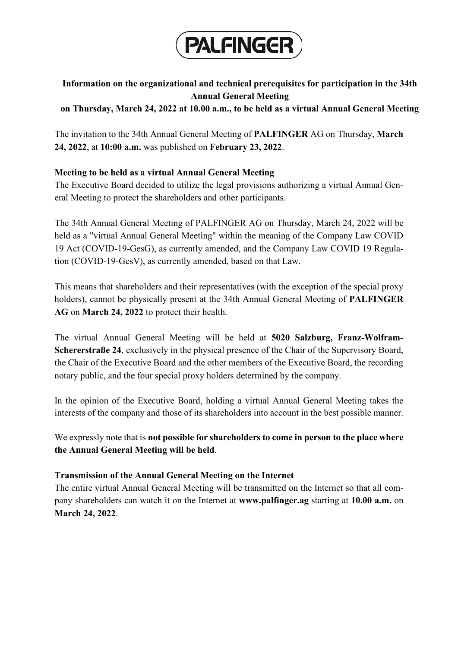

# **Information on the organizational and technical prerequisites for participation in the 34th Annual General Meeting**

**on Thursday, March 24, 2022 at 10.00 a.m., to be held as a virtual Annual General Meeting**

The invitation to the 34th Annual General Meeting of **PALFINGER** AG on Thursday, **March 24, 2022**, at **10:00 a.m.** was published on **February 23, 2022**.

## **Meeting to be held as a virtual Annual General Meeting**

The Executive Board decided to utilize the legal provisions authorizing a virtual Annual General Meeting to protect the shareholders and other participants.

The 34th Annual General Meeting of PALFINGER AG on Thursday, March 24, 2022 will be held as a "virtual Annual General Meeting" within the meaning of the Company Law COVID 19 Act (COVID-19-GesG), as currently amended, and the Company Law COVID 19 Regulation (COVID-19-GesV), as currently amended, based on that Law.

This means that shareholders and their representatives (with the exception of the special proxy holders), cannot be physically present at the 34th Annual General Meeting of **PALFINGER AG** on **March 24, 2022** to protect their health.

The virtual Annual General Meeting will be held at **5020 Salzburg, Franz-Wolfram-Schererstraße 24**, exclusively in the physical presence of the Chair of the Supervisory Board, the Chair of the Executive Board and the other members of the Executive Board, the recording notary public, and the four special proxy holders determined by the company.

In the opinion of the Executive Board, holding a virtual Annual General Meeting takes the interests of the company and those of its shareholders into account in the best possible manner.

We expressly note that is **not possible for shareholders to come in person to the place where the Annual General Meeting will be held**.

## **Transmission of the Annual General Meeting on the Internet**

The entire virtual Annual General Meeting will be transmitted on the Internet so that all company shareholders can watch it on the Internet at **www.palfinger.ag** starting at **10.00 a.m.** on **March 24, 2022**.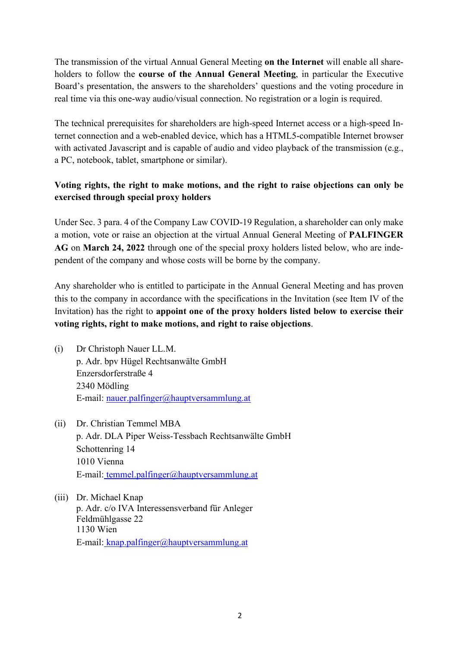The transmission of the virtual Annual General Meeting **on the Internet** will enable all shareholders to follow the **course of the Annual General Meeting**, in particular the Executive Board's presentation, the answers to the shareholders' questions and the voting procedure in real time via this one-way audio/visual connection. No registration or a login is required.

The technical prerequisites for shareholders are high-speed Internet access or a high-speed Internet connection and a web-enabled device, which has a HTML5-compatible Internet browser with activated Javascript and is capable of audio and video playback of the transmission (e.g., a PC, notebook, tablet, smartphone or similar).

## **Voting rights, the right to make motions, and the right to raise objections can only be exercised through special proxy holders**

Under Sec. 3 para. 4 of the Company Law COVID-19 Regulation, a shareholder can only make a motion, vote or raise an objection at the virtual Annual General Meeting of **PALFINGER AG** on **March 24, 2022** through one of the special proxy holders listed below, who are independent of the company and whose costs will be borne by the company.

Any shareholder who is entitled to participate in the Annual General Meeting and has proven this to the company in accordance with the specifications in the Invitation (see Item IV of the Invitation) has the right to **appoint one of the proxy holders listed below to exercise their voting rights, right to make motions, and right to raise objections**.

- (i) Dr Christoph Nauer LL.M. p. Adr. bpv Hügel Rechtsanwälte GmbH Enzersdorferstraße 4 2340 Mödling E-mail: nauer.palfinger@hauptversammlung.at
- (ii) Dr. Christian Temmel MBA p. Adr. DLA Piper Weiss-Tessbach Rechtsanwälte GmbH Schottenring 14 1010 Vienna E-mail: temmel.palfinger@hauptversammlung.at
- (iii) Dr. Michael Knap p. Adr. c/o IVA Interessensverband für Anleger Feldmühlgasse 22 1130 Wien E-mail: knap.palfinger@hauptversammlung.at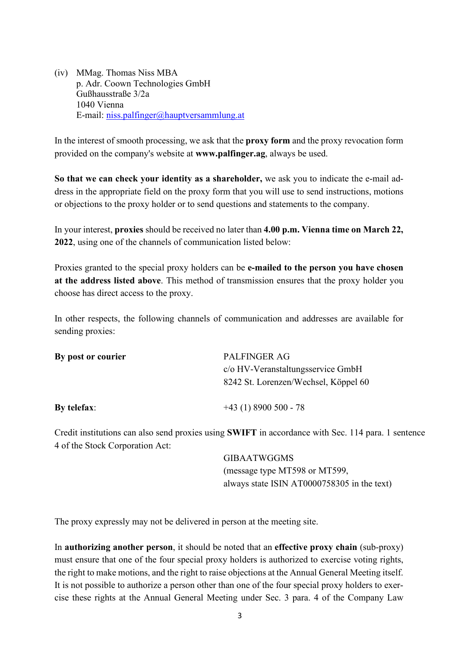(iv) MMag. Thomas Niss MBA p. Adr. Coown Technologies GmbH Gußhausstraße 3/2a 1040 Vienna E-mail: niss.palfinger@hauptversammlung.at

In the interest of smooth processing, we ask that the **proxy form** and the proxy revocation form provided on the company's website at **www.palfinger.ag**, always be used.

**So that we can check your identity as a shareholder,** we ask you to indicate the e-mail address in the appropriate field on the proxy form that you will use to send instructions, motions or objections to the proxy holder or to send questions and statements to the company.

In your interest, **proxies** should be received no later than **4.00 p.m. Vienna time on March 22, 2022**, using one of the channels of communication listed below:

Proxies granted to the special proxy holders can be **e-mailed to the person you have chosen at the address listed above**. This method of transmission ensures that the proxy holder you choose has direct access to the proxy.

In other respects, the following channels of communication and addresses are available for sending proxies:

| By post or courier | PALFINGER AG<br>c/o HV-Veranstaltungsservice GmbH |
|--------------------|---------------------------------------------------|
|                    | 8242 St. Lorenzen/Wechsel, Köppel 60              |
| By telefax:        | $+43(1)8900500 - 78$                              |

Credit institutions can also send proxies using **SWIFT** in accordance with Sec. 114 para. 1 sentence 4 of the Stock Corporation Act:

> GIBAATWGGMS (message type MT598 or MT599, always state ISIN AT0000758305 in the text)

The proxy expressly may not be delivered in person at the meeting site.

In **authorizing another person**, it should be noted that an **effective proxy chain** (sub-proxy) must ensure that one of the four special proxy holders is authorized to exercise voting rights, the right to make motions, and the right to raise objections at the Annual General Meeting itself. It is not possible to authorize a person other than one of the four special proxy holders to exercise these rights at the Annual General Meeting under Sec. 3 para. 4 of the Company Law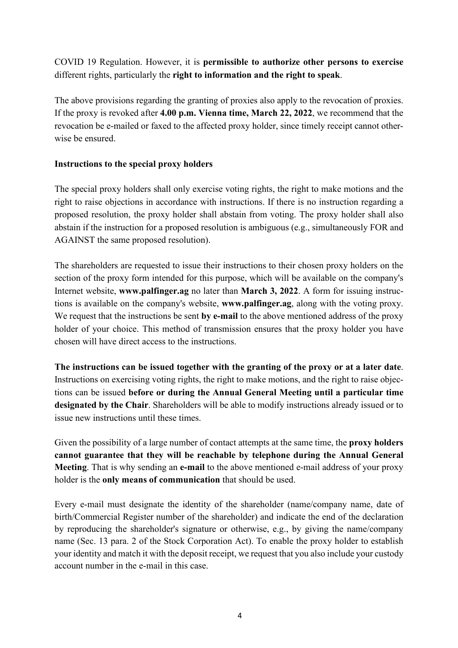COVID 19 Regulation. However, it is **permissible to authorize other persons to exercise** different rights, particularly the **right to information and the right to speak**.

The above provisions regarding the granting of proxies also apply to the revocation of proxies. If the proxy is revoked after **4.00 p.m. Vienna time, March 22, 2022**, we recommend that the revocation be e-mailed or faxed to the affected proxy holder, since timely receipt cannot otherwise be ensured.

## **Instructions to the special proxy holders**

The special proxy holders shall only exercise voting rights, the right to make motions and the right to raise objections in accordance with instructions. If there is no instruction regarding a proposed resolution, the proxy holder shall abstain from voting. The proxy holder shall also abstain if the instruction for a proposed resolution is ambiguous (e.g., simultaneously FOR and AGAINST the same proposed resolution).

The shareholders are requested to issue their instructions to their chosen proxy holders on the section of the proxy form intended for this purpose, which will be available on the company's Internet website, **www.palfinger.ag** no later than **March 3, 2022**. A form for issuing instructions is available on the company's website, **www.palfinger.ag**, along with the voting proxy. We request that the instructions be sent **by e-mail** to the above mentioned address of the proxy holder of your choice. This method of transmission ensures that the proxy holder you have chosen will have direct access to the instructions.

**The instructions can be issued together with the granting of the proxy or at a later date**. Instructions on exercising voting rights, the right to make motions, and the right to raise objections can be issued **before or during the Annual General Meeting until a particular time designated by the Chair**. Shareholders will be able to modify instructions already issued or to issue new instructions until these times.

Given the possibility of a large number of contact attempts at the same time, the **proxy holders cannot guarantee that they will be reachable by telephone during the Annual General Meeting**. That is why sending an **e-mail** to the above mentioned e-mail address of your proxy holder is the **only means of communication** that should be used.

Every e-mail must designate the identity of the shareholder (name/company name, date of birth/Commercial Register number of the shareholder) and indicate the end of the declaration by reproducing the shareholder's signature or otherwise, e.g., by giving the name/company name (Sec. 13 para. 2 of the Stock Corporation Act). To enable the proxy holder to establish your identity and match it with the deposit receipt, we request that you also include your custody account number in the e-mail in this case.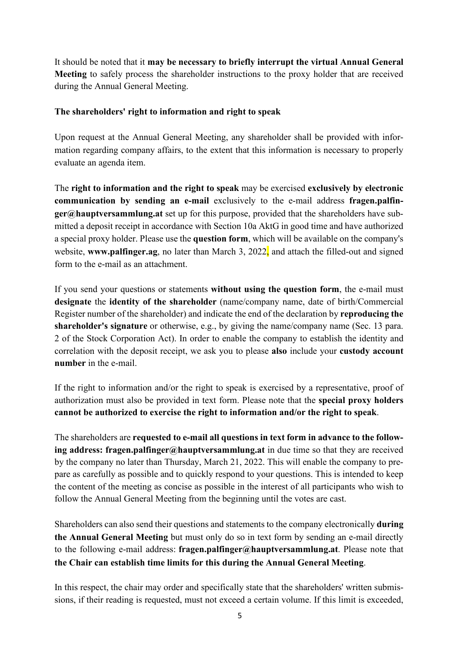It should be noted that it **may be necessary to briefly interrupt the virtual Annual General Meeting** to safely process the shareholder instructions to the proxy holder that are received during the Annual General Meeting.

## **The shareholders' right to information and right to speak**

Upon request at the Annual General Meeting, any shareholder shall be provided with information regarding company affairs, to the extent that this information is necessary to properly evaluate an agenda item.

The **right to information and the right to speak** may be exercised **exclusively by electronic communication by sending an e-mail** exclusively to the e-mail address **fragen.palfinger@hauptversammlung.at** set up for this purpose, provided that the shareholders have submitted a deposit receipt in accordance with Section 10a AktG in good time and have authorized a special proxy holder. Please use the **question form**, which will be available on the company's website, **www.palfinger.ag**, no later than March 3, 2022, and attach the filled-out and signed form to the e-mail as an attachment.

If you send your questions or statements **without using the question form**, the e-mail must **designate** the **identity of the shareholder** (name/company name, date of birth/Commercial Register number of the shareholder) and indicate the end of the declaration by **reproducing the shareholder's signature** or otherwise, e.g., by giving the name/company name (Sec. 13 para. 2 of the Stock Corporation Act). In order to enable the company to establish the identity and correlation with the deposit receipt, we ask you to please **also** include your **custody account number** in the e-mail.

If the right to information and/or the right to speak is exercised by a representative, proof of authorization must also be provided in text form. Please note that the **special proxy holders cannot be authorized to exercise the right to information and/or the right to speak**.

The shareholders are **requested to e-mail all questions in text form in advance to the following address: [fragen.palfinger@hauptversammlung.at](mailto:fragen.post@hauptversammlung.at)** in due time so that they are received by the company no later than Thursday, March 21, 2022. This will enable the company to prepare as carefully as possible and to quickly respond to your questions. This is intended to keep the content of the meeting as concise as possible in the interest of all participants who wish to follow the Annual General Meeting from the beginning until the votes are cast.

Shareholders can also send their questions and statements to the company electronically **during the Annual General Meeting** but must only do so in text form by sending an e-mail directly to the following e-mail address: **[fragen.palfinger@hauptversammlung.at](mailto:fragen.post@hauptversammlung.at)**. Please note that **the Chair can establish time limits for this during the Annual General Meeting**.

In this respect, the chair may order and specifically state that the shareholders' written submissions, if their reading is requested, must not exceed a certain volume. If this limit is exceeded,